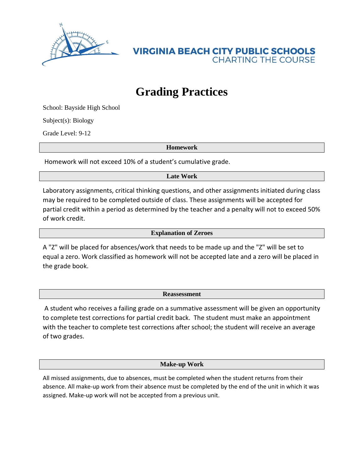

**VIRGINIA BEACH CITY PUBLIC SCHOOLS CHARTING THE COURSE** 

## **Grading Practices**

School: Bayside High School

Subject(s): Biology

Grade Level: 9-12

**Homework**

Homework will not exceed 10% of a student's cumulative grade.

**Late Work**

Laboratory assignments, critical thinking questions, and other assignments initiated during class may be required to be completed outside of class. These assignments will be accepted for partial credit within a period as determined by the teacher and a penalty will not to exceed 50% of work credit.

**Explanation of Zeroes**

A "Z" will be placed for absences/work that needs to be made up and the "Z" will be set to equal a zero. Work classified as homework will not be accepted late and a zero will be placed in the grade book.

**Reassessment**

A student who receives a failing grade on a summative assessment will be given an opportunity to complete test corrections for partial credit back. The student must make an appointment with the teacher to complete test corrections after school; the student will receive an average of two grades.

**Make-up Work**

All missed assignments, due to absences, must be completed when the student returns from their absence. All make-up work from their absence must be completed by the end of the unit in which it was assigned. Make-up work will not be accepted from a previous unit.